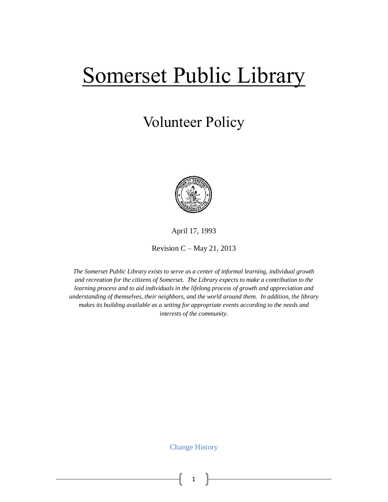# Somerset Public Library

# Volunteer Policy



April 17, 1993

Revision  $C$  – May 21, 2013

*The Somerset Public Library exists to serve as a center of informal learning, individual growth and recreation for the citizens of Somerset. The Library expects to make a contribution to the learning process and to aid individuals in the lifelong process of growth and appreciation and understanding of themselves, their neighbors, and the world around them. In addition, the library makes its building available as a setting for appropriate events according to the needs and interests of the community.*

Change History

1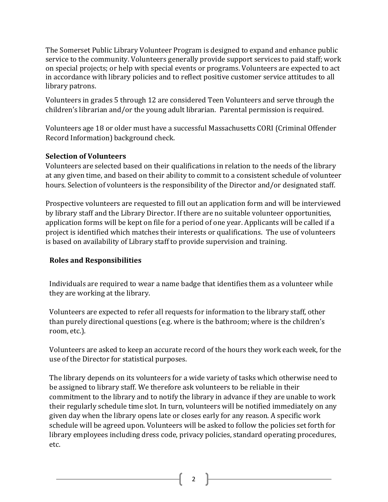The Somerset Public Library Volunteer Program is designed to expand and enhance public service to the community. Volunteers generally provide support services to paid staff; work on special projects; or help with special events or programs. Volunteers are expected to act in accordance with library policies and to reflect positive customer service attitudes to all library patrons.

Volunteers in grades 5 through 12 are considered Teen Volunteers and serve through the children's librarian and/or the young adult librarian. Parental permission is required.

Volunteers age 18 or older must have a successful Massachusetts CORI (Criminal Offender Record Information) background check.

# **Selection of Volunteers**

Volunteers are selected based on their qualifications in relation to the needs of the library at any given time, and based on their ability to commit to a consistent schedule of volunteer hours. Selection of volunteers is the responsibility of the Director and/or designated staff.

Prospective volunteers are requested to fill out an application form and will be interviewed by library staff and the Library Director. If there are no suitable volunteer opportunities, application forms will be kept on file for a period of one year. Applicants will be called if a project is identified which matches their interests or qualifications. The use of volunteers is based on availability of Library staff to provide supervision and training.

# **Roles and Responsibilities**

Individuals are required to wear a name badge that identifies them as a volunteer while they are working at the library.

Volunteers are expected to refer all requests for information to the library staff, other than purely directional questions (e.g. where is the bathroom; where is the children's room, etc.).

Volunteers are asked to keep an accurate record of the hours they work each week, for the use of the Director for statistical purposes.

The library depends on its volunteers for a wide variety of tasks which otherwise need to be assigned to library staff. We therefore ask volunteers to be reliable in their commitment to the library and to notify the library in advance if they are unable to work their regularly schedule time slot. In turn, volunteers will be notified immediately on any given day when the library opens late or closes early for any reason. A specific work schedule will be agreed upon. Volunteers will be asked to follow the policies set forth for library employees including dress code, privacy policies, standard operating procedures, etc.

2  $\uparrow$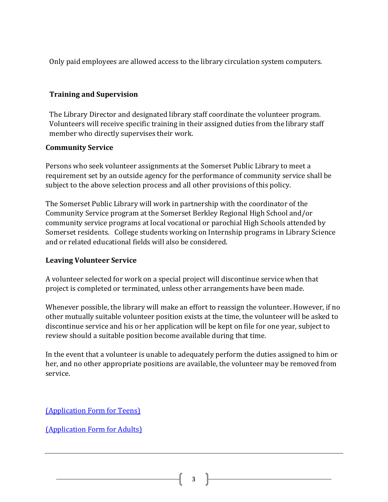Only paid employees are allowed access to the library circulation system computers.

# **Training and Supervision**

The Library Director and designated library staff coordinate the volunteer program. Volunteers will receive specific training in their assigned duties from the library staff member who directly supervises their work.

#### **Community Service**

Persons who seek volunteer assignments at the Somerset Public Library to meet a requirement set by an outside agency for the performance of community service shall be subject to the above selection process and all other provisions of this policy.

The Somerset Public Library will work in partnership with the coordinator of the Community Service program at the Somerset Berkley Regional High School and/or community service programs at local vocational or parochial High Schools attended by Somerset residents. College students working on Internship programs in Library Science and or related educational fields will also be considered.

# **Leaving Volunteer Service**

A volunteer selected for work on a special project will discontinue service when that project is completed or terminated, unless other arrangements have been made.

Whenever possible, the library will make an effort to reassign the volunteer. However, if no other mutually suitable volunteer position exists at the time, the volunteer will be asked to discontinue service and his or her application will be kept on file for one year, subject to review should a suitable position become available during that time.

In the event that a volunteer is unable to adequately perform the duties assigned to him or her, and no other appropriate positions are available, the volunteer may be removed from service.

[\(Application Form for Teens\)](file:///G:/Vounteers/Volunteer%20Application%20Form%20-%20Teens.pdf)

[\(Application Form for Adults\)](file:///G:/Vounteers/Volunteer%20Application%20Form%20-%20adult.pdf)

 $3$  ]